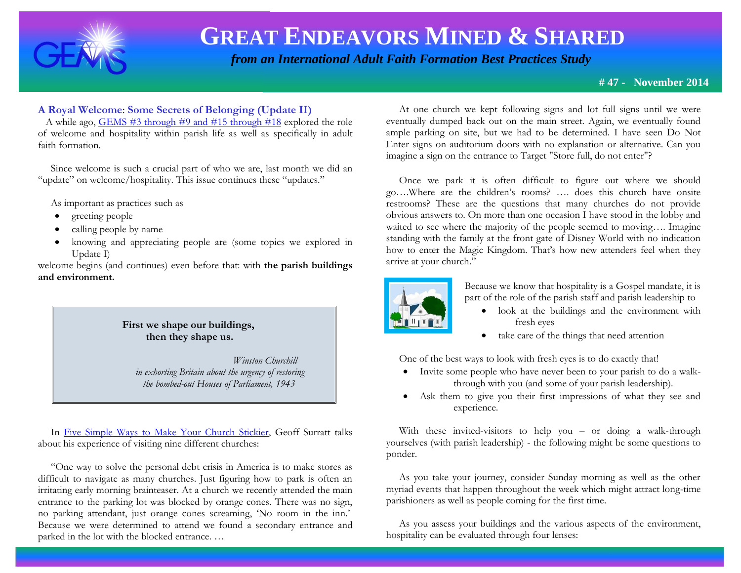

 *from an International Adult Faith Formation Best Practices Study*

**# 47 - November 2014**

# **A Royal Welcome**: **Some Secrets of Belonging (Update II)**

 A while ago, [GEMS #3 through #9 and #15 through #18](http://www.janetschaeffler.com/Best-Practices.html) explored the role of welcome and hospitality within parish life as well as specifically in adult faith formation.

 Since welcome is such a crucial part of who we are, last month we did an "update" on welcome/hospitality. This issue continues these "updates."

As important as practices such as

- greeting people
- calling people by name
- knowing and appreciating people are (some topics we explored in Update I)

welcome begins (and continues) even before that: with **the parish buildings and environment.**

> **First we shape our buildings, then they shape us.**

 *Winston Churchill in exhorting Britain about the urgency of restoring the bombed-out Houses of Parliament, 1943* 

 In [Five Simple Ways to Make Your Church Stickier,](http://www.churchleaders.com/outreach-missions/outreach-missions-blogs/158372-geoff_surratt_five_simple_ways_to_make_your_church_stickier_part_2.html) Geoff Surratt talks about his experience of visiting nine different churches:

 "One way to solve the personal debt crisis in America is to make stores as difficult to navigate as many churches. Just figuring how to park is often an irritating early morning brainteaser. At a church we recently attended the main entrance to the parking lot was blocked by orange cones. There was no sign, no parking attendant, just orange cones screaming, 'No room in the inn.' Because we were determined to attend we found a secondary entrance and parked in the lot with the blocked entrance. …

 At one church we kept following signs and lot full signs until we were eventually dumped back out on the main street. Again, we eventually found ample parking on site, but we had to be determined. I have seen Do Not Enter signs on auditorium doors with no explanation or alternative. Can you imagine a sign on the entrance to Target "Store full, do not enter"?

 Once we park it is often difficult to figure out where we should go….Where are the children's rooms? …. does this church have onsite restrooms? These are the questions that many churches do not provide obvious answers to. On more than one occasion I have stood in the lobby and waited to see where the majority of the people seemed to moving.... Imagine standing with the family at the front gate of Disney World with no indication how to enter the Magic Kingdom. That's how new attenders feel when they arrive at your church."



Because we know that hospitality is a Gospel mandate, it is part of the role of the parish staff and parish leadership to

- look at the buildings and the environment with fresh eyes
- take care of the things that need attention

One of the best ways to look with fresh eyes is to do exactly that!

- Invite some people who have never been to your parish to do a walkthrough with you (and some of your parish leadership).
- Ask them to give you their first impressions of what they see and experience.

With these invited-visitors to help you – or doing a walk-through yourselves (with parish leadership) - the following might be some questions to ponder.

 As you take your journey, consider Sunday morning as well as the other myriad events that happen throughout the week which might attract long-time parishioners as well as people coming for the first time.

 As you assess your buildings and the various aspects of the environment, hospitality can be evaluated through four lenses: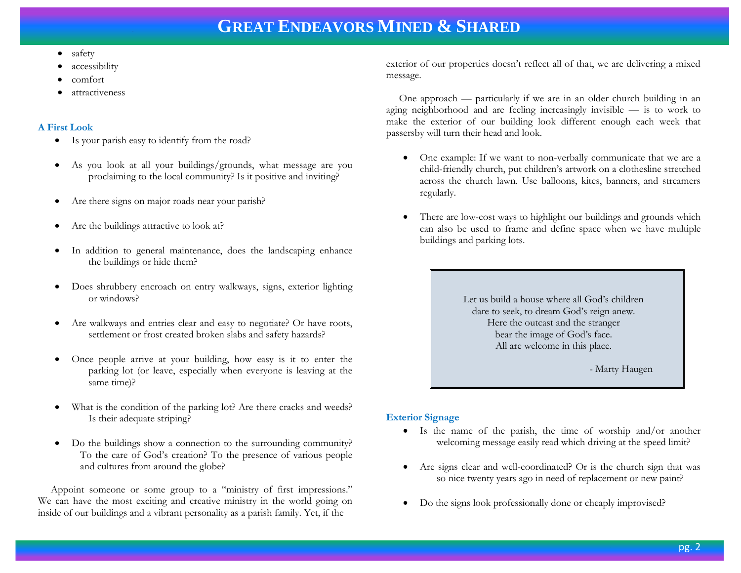- safety
- accessibility
- comfort
- attractiveness

#### **A First Look**

- Is your parish easy to identify from the road?
- As you look at all your buildings/grounds, what message are you proclaiming to the local community? Is it positive and inviting?
- Are there signs on major roads near your parish?
- Are the buildings attractive to look at?
- In addition to general maintenance, does the landscaping enhance the buildings or hide them?
- Does shrubbery encroach on entry walkways, signs, exterior lighting or windows?
- Are walkways and entries clear and easy to negotiate? Or have roots, settlement or frost created broken slabs and safety hazards?
- Once people arrive at your building, how easy is it to enter the parking lot (or leave, especially when everyone is leaving at the same time)?
- What is the condition of the parking lot? Are there cracks and weeds? Is their adequate striping?
- Do the buildings show a connection to the surrounding community? To the care of God's creation? To the presence of various people and cultures from around the globe?

 Appoint someone or some group to a "ministry of first impressions." We can have the most exciting and creative ministry in the world going on inside of our buildings and a vibrant personality as a parish family. Yet, if the

exterior of our properties doesn't reflect all of that, we are delivering a mixed message.

 One approach — particularly if we are in an older church building in an aging neighborhood and are feeling increasingly invisible — is to work to make the exterior of our building look different enough each week that passersby will turn their head and look.

- One example: If we want to non-verbally communicate that we are a child-friendly church, put children's artwork on a clothesline stretched across the church lawn. Use balloons, kites, banners, and streamers regularly.
- There are low-cost ways to highlight our buildings and grounds which can also be used to frame and define space when we have multiple buildings and parking lots.

 Let us build a house where all God's children dare to seek, to dream God's reign anew. Here the outcast and the stranger bear the image of God's face. All are welcome in this place.

- Marty Haugen

#### **Exterior Signage**

- Is the name of the parish, the time of worship and/or another welcoming message easily read which driving at the speed limit?
- Are signs clear and well-coordinated? Or is the church sign that was so nice twenty years ago in need of replacement or new paint?
- Do the signs look professionally done or cheaply improvised?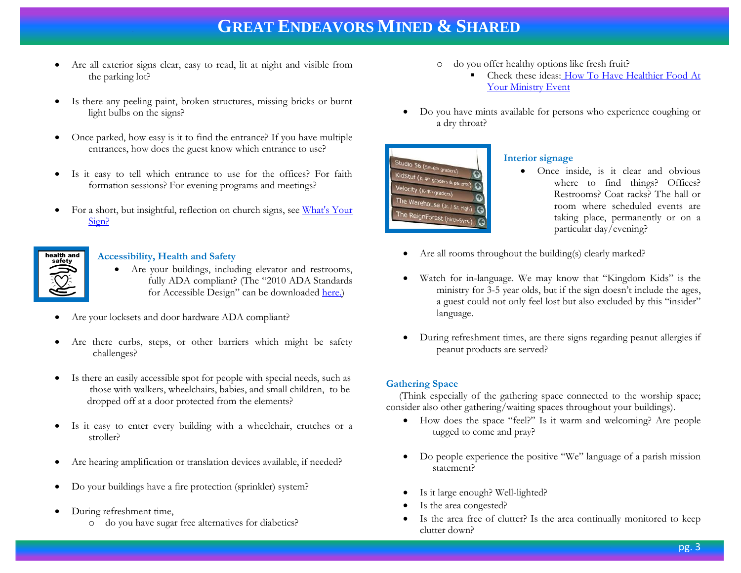- Are all exterior signs clear, easy to read, lit at night and visible from the parking lot?
- Is there any peeling paint, broken structures, missing bricks or burnt light bulbs on the signs?
- Once parked, how easy is it to find the entrance? If you have multiple entrances, how does the guest know which entrance to use?
- Is it easy to tell which entrance to use for the offices? For faith formation sessions? For evening programs and meetings?
- For a short, but insightful, reflection on church signs, see What's Your [Sign?](http://www.ecfvp.org/posts/whats-your-sign/)



### **Accessibility, Health and Safety**

- Are your buildings, including elevator and restrooms, fully ADA compliant? (The "2010 ADA Standards for Accessible Design" can be downloaded [here.\)](http://www.ada.gov/2010ADAstandards_index.htm)
- Are your locksets and door hardware ADA compliant?
- Are there curbs, steps, or other barriers which might be safety challenges?
- Is there an easily accessible spot for people with special needs, such as those with walkers, wheelchairs, babies, and small children, to be dropped off at a door protected from the elements?
- Is it easy to enter every building with a wheelchair, crutches or a stroller?
- Are hearing amplification or translation devices available, if needed?
- Do your buildings have a fire protection (sprinkler) system?
- During refreshment time,
	- o do you have sugar free alternatives for diabetics?
- o do you offer healthy options like fresh fruit?
	- Check these ideas: [How To Have Healthier Food At](http://www.realministry.org/healthier-food/)  [Your Ministry Event](http://www.realministry.org/healthier-food/)
- Do you have mints available for persons who experience coughing or a dry throat?



### **Interior signage**

- Once inside, is it clear and obvious where to find things? Offices? Restrooms? Coat racks? The hall or room where scheduled events are taking place, permanently or on a particular day/evening?
- Are all rooms throughout the building(s) clearly marked?
- Watch for in-language. We may know that "Kingdom Kids" is the ministry for 3-5 year olds, but if the sign doesn't include the ages, a guest could not only feel lost but also excluded by this "insider" language.
- During refreshment times, are there signs regarding peanut allergies if peanut products are served?

### **Gathering Space**

 (Think especially of the gathering space connected to the worship space; consider also other gathering/waiting spaces throughout your buildings).

- How does the space "feel?" Is it warm and welcoming? Are people tugged to come and pray?
- Do people experience the positive "We" language of a parish mission statement?
- Is it large enough? Well-lighted?
- Is the area congested?
- Is the area free of clutter? Is the area continually monitored to keep clutter down?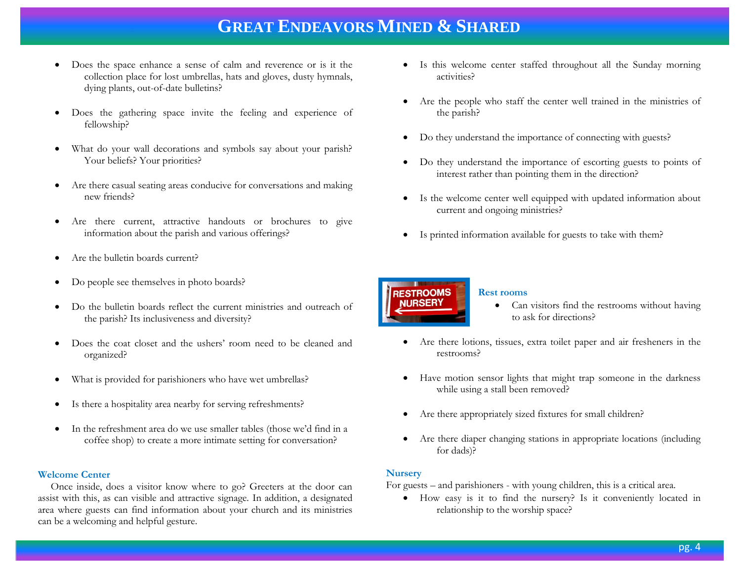- Does the space enhance a sense of calm and reverence or is it the collection place for lost umbrellas, hats and gloves, dusty hymnals, dying plants, out-of-date bulletins?
- Does the gathering space invite the feeling and experience of fellowship?
- What do your wall decorations and symbols say about your parish? Your beliefs? Your priorities?
- Are there casual seating areas conducive for conversations and making new friends?
- Are there current, attractive handouts or brochures to give information about the parish and various offerings?
- Are the bulletin boards current?
- Do people see themselves in photo boards?
- Do the bulletin boards reflect the current ministries and outreach of the parish? Its inclusiveness and diversity?
- Does the coat closet and the ushers' room need to be cleaned and organized?
- What is provided for parishioners who have wet umbrellas?
- Is there a hospitality area nearby for serving refreshments?
- In the refreshment area do we use smaller tables (those we'd find in a coffee shop) to create a more intimate setting for conversation?

#### **Welcome Center**

 Once inside, does a visitor know where to go? Greeters at the door can assist with this, as can visible and attractive signage. In addition, a designated area where guests can find information about your church and its ministries can be a welcoming and helpful gesture.

- Is this welcome center staffed throughout all the Sunday morning activities?
- Are the people who staff the center well trained in the ministries of the parish?
- Do they understand the importance of connecting with guests?
- Do they understand the importance of escorting guests to points of interest rather than pointing them in the direction?
- Is the welcome center well equipped with updated information about current and ongoing ministries?
- Is printed information available for guests to take with them?



#### **Rest rooms**

- Can visitors find the restrooms without having to ask for directions?
- Are there lotions, tissues, extra toilet paper and air fresheners in the restrooms?
- Have motion sensor lights that might trap someone in the darkness while using a stall been removed?
- Are there appropriately sized fixtures for small children?
- Are there diaper changing stations in appropriate locations (including for dads)?

#### **Nursery**

For guests – and parishioners - with young children, this is a critical area.

 How easy is it to find the nursery? Is it conveniently located in relationship to the worship space?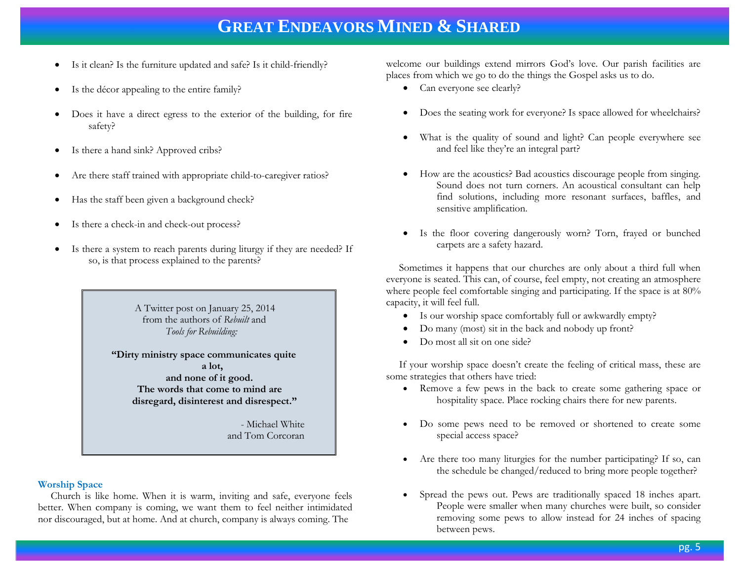- Is it clean? Is the furniture updated and safe? Is it child-friendly?
- Is the décor appealing to the entire family?
- Does it have a direct egress to the exterior of the building, for fire safety?
- Is there a hand sink? Approved cribs?
- Are there staff trained with appropriate child-to-caregiver ratios?
- Has the staff been given a background check?
- Is there a check-in and check-out process?
- Is there a system to reach parents during liturgy if they are needed? If so, is that process explained to the parents?

 A Twitter post on January 25, 2014 from the authors of *Rebuilt* and *Tools for Rebuilding:* 

 **"Dirty ministry space communicates quite a lot, and none of it good. The words that come to mind are disregard, disinterest and disrespect."**

> - Michael White and Tom Corcoran

#### **Worship Space**

 Church is like home. When it is warm, inviting and safe, everyone feels better. When company is coming, we want them to feel neither intimidated nor discouraged, but at home. And at church, company is always coming. The

welcome our buildings extend mirrors God's love. Our parish facilities are places from which we go to do the things the Gospel asks us to do.

- Can everyone see clearly?
- Does the seating work for everyone? Is space allowed for wheelchairs?
- What is the quality of sound and light? Can people everywhere see and feel like they're an integral part?
- How are the acoustics? Bad acoustics discourage people from singing. Sound does not turn corners. An acoustical consultant can help find solutions, including more resonant surfaces, baffles, and sensitive amplification.
- Is the floor covering dangerously worn? Torn, frayed or bunched carpets are a safety hazard.

 Sometimes it happens that our churches are only about a third full when everyone is seated. This can, of course, feel empty, not creating an atmosphere where people feel comfortable singing and participating. If the space is at 80% capacity, it will feel full.

- Is our worship space comfortably full or awkwardly empty?
- Do many (most) sit in the back and nobody up front?
- Do most all sit on one side?

 If your worship space doesn't create the feeling of critical mass, these are some strategies that others have tried:

- Remove a few pews in the back to create some gathering space or hospitality space. Place rocking chairs there for new parents.
- Do some pews need to be removed or shortened to create some special access space?
- Are there too many liturgies for the number participating? If so, can the schedule be changed/reduced to bring more people together?
- Spread the pews out. Pews are traditionally spaced 18 inches apart. People were smaller when many churches were built, so consider removing some pews to allow instead for 24 inches of spacing between pews.